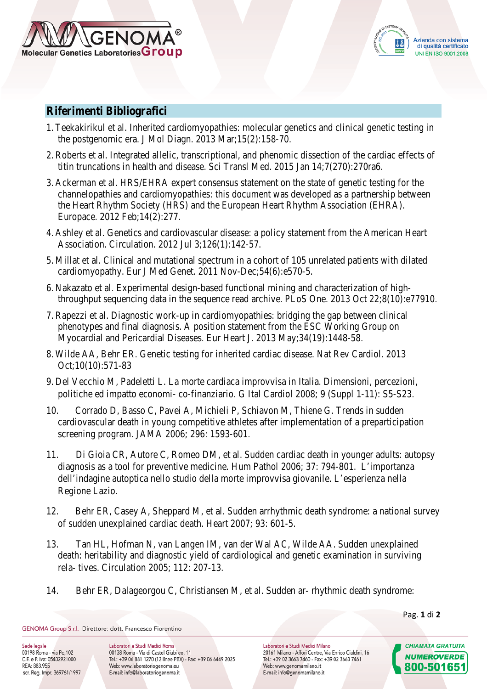

## **Riferimenti Bibliografici**

- 1. Teekakirikul et al. Inherited cardiomyopathies: molecular genetics and clinical genetic testing in the postgenomic era. J Mol Diagn. 2013 Mar;15(2):158-70.
- 2. Roberts et al. Integrated allelic, transcriptional, and phenomic dissection of the cardiac effects of titin truncations in health and disease. Sci Transl Med. 2015 Jan 14;7(270):270ra6.
- 3. Ackerman et al. HRS/EHRA expert consensus statement on the state of genetic testing for the channelopathies and cardiomyopathies: this document was developed as a partnership between the Heart Rhythm Society (HRS) and the European Heart Rhythm Association (EHRA). Europace. 2012 Feb;14(2):277.
- 4. Ashley et al. Genetics and cardiovascular disease: a policy statement from the American Heart Association. Circulation. 2012 Jul 3;126(1):142-57.
- 5. Millat et al. Clinical and mutational spectrum in a cohort of 105 unrelated patients with dilated cardiomyopathy. Eur J Med Genet. 2011 Nov-Dec;54(6):e570-5.
- 6. Nakazato et al. Experimental design-based functional mining and characterization of highthroughput sequencing data in the sequence read archive. PLoS One. 2013 Oct 22;8(10):e77910.
- 7. Rapezzi et al. Diagnostic work-up in cardiomyopathies: bridging the gap between clinical phenotypes and final diagnosis. A position statement from the ESC Working Group on Myocardial and Pericardial Diseases. Eur Heart J. 2013 May;34(19):1448-58.
- 8. Wilde AA, Behr ER. Genetic testing for inherited cardiac disease. Nat Rev Cardiol. 2013 Oct;10(10):571-83
- 9. Del Vecchio M, Padeletti L. La morte cardiaca improvvisa in Italia. Dimensioni, percezioni, politiche ed impatto economi- co-finanziario. G Ital Cardiol 2008; 9 (Suppl 1-11): S5-S23.
- 10. Corrado D, Basso C, Pavei A, Michieli P, Schiavon M, Thiene G. Trends in sudden cardiovascular death in young competitive athletes after implementation of a preparticipation screening program. JAMA 2006; 296: 1593-601.
- 11. Di Gioia CR, Autore C, Romeo DM, et al. Sudden cardiac death in younger adults: autopsy diagnosis as a tool for preventive medicine. Hum Pathol 2006; 37: 794-801. L'importanza dell'indagine autoptica nello studio della morte improvvisa giovanile. L'esperienza nella Regione Lazio.
- 12. Behr ER, Casey A, Sheppard M, et al. Sudden arrhythmic death syndrome: a national survey of sudden unexplained cardiac death. Heart 2007; 93: 601-5.
- 13. Tan HL, Hofman N, van Langen IM, van der Wal AC, Wilde AA. Sudden unexplained death: heritability and diagnostic yield of cardiological and genetic examination in surviving rela- tives. Circulation 2005; 112: 207-13.
- 14. Behr ER, Dalageorgou C, Christiansen M, et al. Sudden ar- rhythmic death syndrome:

Pag. **1** di **2**

GENOMA Group S.r.l. Direttore: dott. Francesco Fiorentino

Sede legale 00198 Roma - via Po, 102 C.F. e P. Iva: 05402921000 REA: 883.955 scr. Reg. Impr. 369761/1997 Laboratori e Studi Medici Roma 00138 Roma - Via di Castel Giubi eo, 11 Tel.: +39 06 881 1270 (12 linee PBX) - Fax: +39 06 6449 2025 Web: www.laboratoriogenoma.eu E-mail: info@laboratoriogenoma.it

Laboratori e Studi Medici Milano 20161 Milano - Affori Centre, Via Enrico Cialdini, 16 Tel.: +39 02 3663 7460 - Fax: +39 02 3663 7461 Web: www.genomamilano.it E-mail: info@genomamilano.it

**CHIAMATA GRATUITA NUMEROVERDE** 800-501651